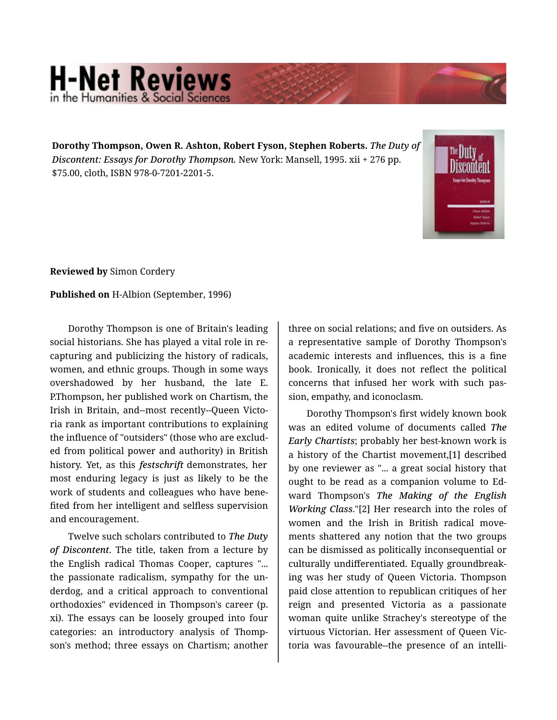## **H-Net Reviews** in the Humanities & Social Scie

**Dorothy Thompson, Owen R. Ashton, Robert Fyson, Stephen Roberts.** *The Duty of Discontent: Essays for Dorothy Thompson.* New York: Mansell, 1995. xii + 276 pp. \$75.00, cloth, ISBN 978-0-7201-2201-5.



**Reviewed by** Simon Cordery

**Published on** H-Albion (September, 1996)

Dorothy Thompson is one of Britain's leading social historians. She has played a vital role in re‐ capturing and publicizing the history of radicals, women, and ethnic groups. Though in some ways overshadowed by her husband, the late E. P.Thompson, her published work on Chartism, the Irish in Britain, and--most recently--Queen Victo‐ ria rank as important contributions to explaining the influence of "outsiders" (those who are exclud‐ ed from political power and authority) in British history. Yet, as this *festschrift* demonstrates, her most enduring legacy is just as likely to be the work of students and colleagues who have bene‐ fited from her intelligent and selfless supervision and encouragement.

Twelve such scholars contributed to *The Duty of Discontent*. The title, taken from a lecture by the English radical Thomas Cooper, captures "... the passionate radicalism, sympathy for the un‐ derdog, and a critical approach to conventional orthodoxies" evidenced in Thompson's career (p. xi). The essays can be loosely grouped into four categories: an introductory analysis of Thomp‐ son's method; three essays on Chartism; another

three on social relations; and five on outsiders. As a representative sample of Dorothy Thompson's academic interests and influences, this is a fine book. Ironically, it does not reflect the political concerns that infused her work with such pas‐ sion, empathy, and iconoclasm.

Dorothy Thompson's first widely known book was an edited volume of documents called *The Early Chartists*; probably her best-known work is a history of the Chartist movement,[1] described by one reviewer as "... a great social history that ought to be read as a companion volume to Ed‐ ward Thompson's *The Making of the English Working Class*."[2] Her research into the roles of women and the Irish in British radical move‐ ments shattered any notion that the two groups can be dismissed as politically inconsequential or culturally undifferentiated. Equally groundbreak‐ ing was her study of Queen Victoria. Thompson paid close attention to republican critiques of her reign and presented Victoria as a passionate woman quite unlike Strachey's stereotype of the virtuous Victorian. Her assessment of Queen Vic‐ toria was favourable--the presence of an intelli‐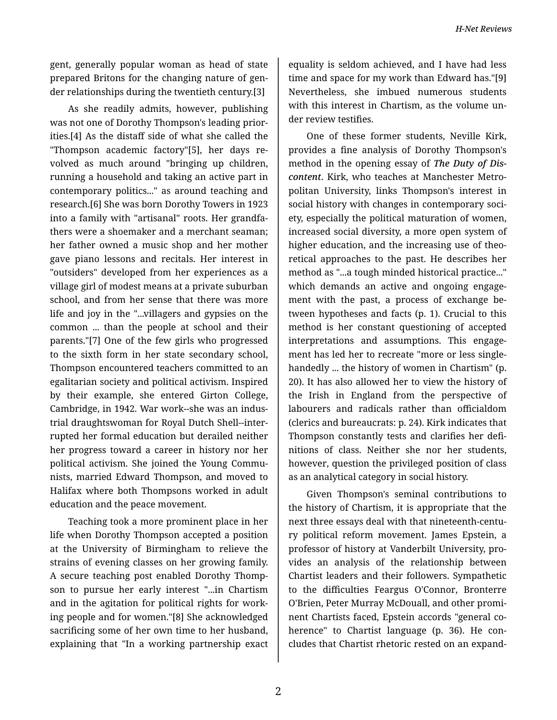gent, generally popular woman as head of state prepared Britons for the changing nature of gen‐ der relationships during the twentieth century.[3]

As she readily admits, however, publishing was not one of Dorothy Thompson's leading prior‐ ities.[4] As the distaff side of what she called the "Thompson academic factory"[5], her days re‐ volved as much around "bringing up children, running a household and taking an active part in contemporary politics..." as around teaching and research.[6] She was born Dorothy Towers in 1923 into a family with "artisanal" roots. Her grandfa‐ thers were a shoemaker and a merchant seaman; her father owned a music shop and her mother gave piano lessons and recitals. Her interest in "outsiders" developed from her experiences as a village girl of modest means at a private suburban school, and from her sense that there was more life and joy in the "...villagers and gypsies on the common ... than the people at school and their parents."[7] One of the few girls who progressed to the sixth form in her state secondary school, Thompson encountered teachers committed to an egalitarian society and political activism. Inspired by their example, she entered Girton College, Cambridge, in 1942. War work--she was an indus‐ trial draughtswoman for Royal Dutch Shell--inter‐ rupted her formal education but derailed neither her progress toward a career in history nor her political activism. She joined the Young Commu‐ nists, married Edward Thompson, and moved to Halifax where both Thompsons worked in adult education and the peace movement.

Teaching took a more prominent place in her life when Dorothy Thompson accepted a position at the University of Birmingham to relieve the strains of evening classes on her growing family. A secure teaching post enabled Dorothy Thomp‐ son to pursue her early interest "...in Chartism and in the agitation for political rights for work‐ ing people and for women."[8] She acknowledged sacrificing some of her own time to her husband, explaining that "In a working partnership exact

equality is seldom achieved, and I have had less time and space for my work than Edward has."[9] Nevertheless, she imbued numerous students with this interest in Chartism, as the volume under review testifies.

One of these former students, Neville Kirk, provides a fine analysis of Dorothy Thompson's method in the opening essay of *The Duty of Dis‐ content*. Kirk, who teaches at Manchester Metro‐ politan University, links Thompson's interest in social history with changes in contemporary society, especially the political maturation of women, increased social diversity, a more open system of higher education, and the increasing use of theoretical approaches to the past. He describes her method as "...a tough minded historical practice..." which demands an active and ongoing engagement with the past, a process of exchange be‐ tween hypotheses and facts (p. 1). Crucial to this method is her constant questioning of accepted interpretations and assumptions. This engage‐ ment has led her to recreate "more or less singlehandedly ... the history of women in Chartism" (p. 20). It has also allowed her to view the history of the Irish in England from the perspective of labourers and radicals rather than officialdom (clerics and bureaucrats: p. 24). Kirk indicates that Thompson constantly tests and clarifies her defi‐ nitions of class. Neither she nor her students, however, question the privileged position of class as an analytical category in social history.

Given Thompson's seminal contributions to the history of Chartism, it is appropriate that the next three essays deal with that nineteenth-centu‐ ry political reform movement. James Epstein, a professor of history at Vanderbilt University, pro‐ vides an analysis of the relationship between Chartist leaders and their followers. Sympathetic to the difficulties Feargus O'Connor, Bronterre O'Brien, Peter Murray McDouall, and other promi‐ nent Chartists faced, Epstein accords "general co‐ herence" to Chartist language (p. 36). He concludes that Chartist rhetoric rested on an expand‐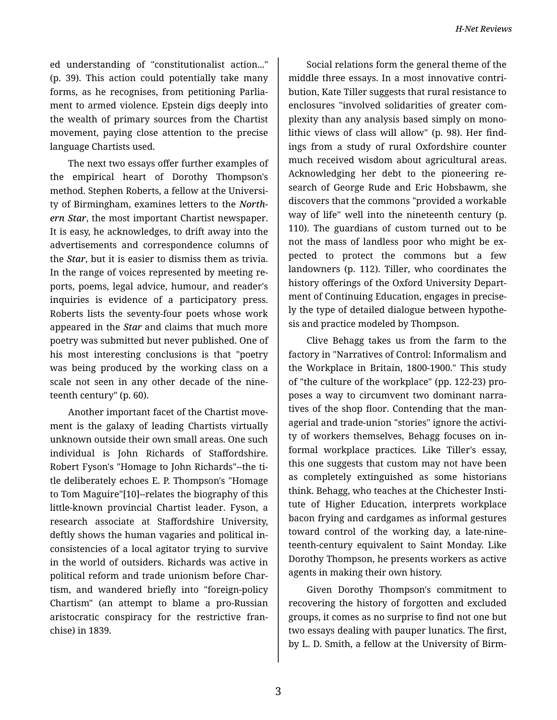ed understanding of "constitutionalist action..." (p. 39). This action could potentially take many forms, as he recognises, from petitioning Parlia‐ ment to armed violence. Epstein digs deeply into the wealth of primary sources from the Chartist movement, paying close attention to the precise language Chartists used.

The next two essays offer further examples of the empirical heart of Dorothy Thompson's method. Stephen Roberts, a fellow at the Universi‐ ty of Birmingham, examines letters to the *North‐ ern Star*, the most important Chartist newspaper. It is easy, he acknowledges, to drift away into the advertisements and correspondence columns of the *Star*, but it is easier to dismiss them as trivia. In the range of voices represented by meeting re‐ ports, poems, legal advice, humour, and reader's inquiries is evidence of a participatory press. Roberts lists the seventy-four poets whose work appeared in the *Star* and claims that much more poetry was submitted but never published. One of his most interesting conclusions is that "poetry was being produced by the working class on a scale not seen in any other decade of the nine‐ teenth century" (p. 60).

Another important facet of the Chartist move‐ ment is the galaxy of leading Chartists virtually unknown outside their own small areas. One such individual is John Richards of Staffordshire. Robert Fyson's "Homage to John Richards"--the ti‐ tle deliberately echoes E. P. Thompson's "Homage to Tom Maguire"[10]--relates the biography of this little-known provincial Chartist leader. Fyson, a research associate at Staffordshire University, deftly shows the human vagaries and political in‐ consistencies of a local agitator trying to survive in the world of outsiders. Richards was active in political reform and trade unionism before Char‐ tism, and wandered briefly into "foreign-policy Chartism" (an attempt to blame a pro-Russian aristocratic conspiracy for the restrictive fran‐ chise) in 1839.

Social relations form the general theme of the middle three essays. In a most innovative contri‐ bution, Kate Tiller suggests that rural resistance to enclosures "involved solidarities of greater com‐ plexity than any analysis based simply on mono‐ lithic views of class will allow" (p. 98). Her find‐ ings from a study of rural Oxfordshire counter much received wisdom about agricultural areas. Acknowledging her debt to the pioneering re‐ search of George Rude and Eric Hobsbawm, she discovers that the commons "provided a workable way of life" well into the nineteenth century (p. 110). The guardians of custom turned out to be not the mass of landless poor who might be expected to protect the commons but a few landowners (p. 112). Tiller, who coordinates the history offerings of the Oxford University Depart‐ ment of Continuing Education, engages in precise‐ ly the type of detailed dialogue between hypothe‐ sis and practice modeled by Thompson.

Clive Behagg takes us from the farm to the factory in "Narratives of Control: Informalism and the Workplace in Britain, 1800-1900." This study of "the culture of the workplace" (pp. 122-23) pro‐ poses a way to circumvent two dominant narra‐ tives of the shop floor. Contending that the man‐ agerial and trade-union "stories" ignore the activi‐ ty of workers themselves, Behagg focuses on in‐ formal workplace practices. Like Tiller's essay, this one suggests that custom may not have been as completely extinguished as some historians think. Behagg, who teaches at the Chichester Insti‐ tute of Higher Education, interprets workplace bacon frying and cardgames as informal gestures toward control of the working day, a late-nine‐ teenth-century equivalent to Saint Monday. Like Dorothy Thompson, he presents workers as active agents in making their own history.

Given Dorothy Thompson's commitment to recovering the history of forgotten and excluded groups, it comes as no surprise to find not one but two essays dealing with pauper lunatics. The first, by L. D. Smith, a fellow at the University of Birm‐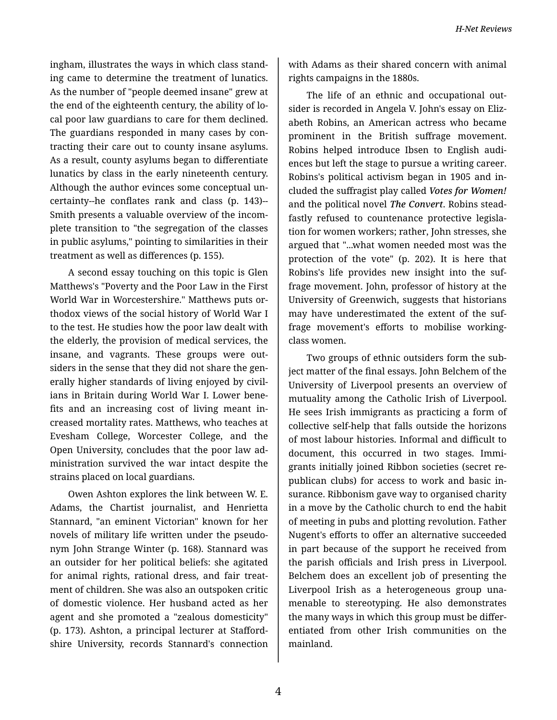ingham, illustrates the ways in which class stand‐ ing came to determine the treatment of lunatics. As the number of "people deemed insane" grew at the end of the eighteenth century, the ability of lo‐ cal poor law guardians to care for them declined. The guardians responded in many cases by con‐ tracting their care out to county insane asylums. As a result, county asylums began to differentiate lunatics by class in the early nineteenth century. Although the author evinces some conceptual un‐ certainty--he conflates rank and class (p. 143)-- Smith presents a valuable overview of the incom‐ plete transition to "the segregation of the classes in public asylums," pointing to similarities in their treatment as well as differences (p. 155).

A second essay touching on this topic is Glen Matthews's "Poverty and the Poor Law in the First World War in Worcestershire." Matthews puts or‐ thodox views of the social history of World War I to the test. He studies how the poor law dealt with the elderly, the provision of medical services, the insane, and vagrants. These groups were out‐ siders in the sense that they did not share the gen‐ erally higher standards of living enjoyed by civil‐ ians in Britain during World War I. Lower bene‐ fits and an increasing cost of living meant in‐ creased mortality rates. Matthews, who teaches at Evesham College, Worcester College, and the Open University, concludes that the poor law ad‐ ministration survived the war intact despite the strains placed on local guardians.

Owen Ashton explores the link between W. E. Adams, the Chartist journalist, and Henrietta Stannard, "an eminent Victorian" known for her novels of military life written under the pseudo‐ nym John Strange Winter (p. 168). Stannard was an outsider for her political beliefs: she agitated for animal rights, rational dress, and fair treat‐ ment of children. She was also an outspoken critic of domestic violence. Her husband acted as her agent and she promoted a "zealous domesticity" (p. 173). Ashton, a principal lecturer at Stafford‐ shire University, records Stannard's connection with Adams as their shared concern with animal rights campaigns in the 1880s.

The life of an ethnic and occupational out‐ sider is recorded in Angela V. John's essay on Eliz‐ abeth Robins, an American actress who became prominent in the British suffrage movement. Robins helped introduce Ibsen to English audi‐ ences but left the stage to pursue a writing career. Robins's political activism began in 1905 and in‐ cluded the suffragist play called *Votes for Women!* and the political novel *The Convert*. Robins stead‐ fastly refused to countenance protective legisla‐ tion for women workers; rather, John stresses, she argued that "...what women needed most was the protection of the vote" (p. 202). It is here that Robins's life provides new insight into the suf‐ frage movement. John, professor of history at the University of Greenwich, suggests that historians may have underestimated the extent of the suf‐ frage movement's efforts to mobilise workingclass women.

Two groups of ethnic outsiders form the sub‐ ject matter of the final essays. John Belchem of the University of Liverpool presents an overview of mutuality among the Catholic Irish of Liverpool. He sees Irish immigrants as practicing a form of collective self-help that falls outside the horizons of most labour histories. Informal and difficult to document, this occurred in two stages. Immi‐ grants initially joined Ribbon societies (secret re‐ publican clubs) for access to work and basic in‐ surance. Ribbonism gave way to organised charity in a move by the Catholic church to end the habit of meeting in pubs and plotting revolution. Father Nugent's efforts to offer an alternative succeeded in part because of the support he received from the parish officials and Irish press in Liverpool. Belchem does an excellent job of presenting the Liverpool Irish as a heterogeneous group una‐ menable to stereotyping. He also demonstrates the many ways in which this group must be differ‐ entiated from other Irish communities on the mainland.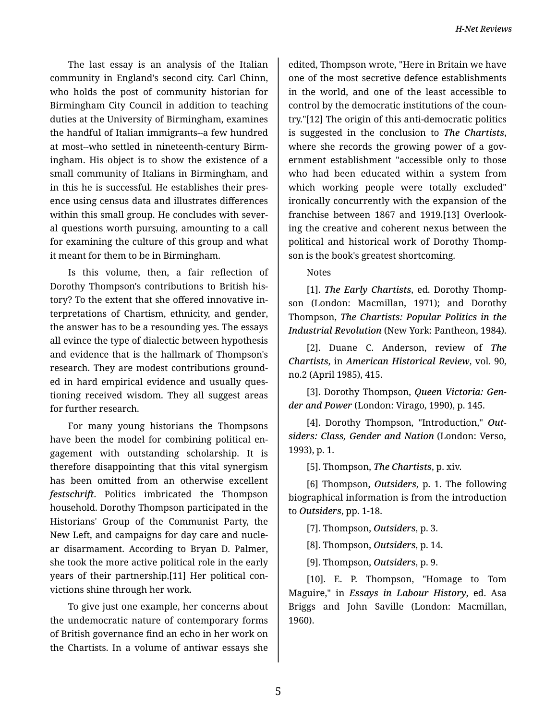The last essay is an analysis of the Italian community in England's second city. Carl Chinn, who holds the post of community historian for Birmingham City Council in addition to teaching duties at the University of Birmingham, examines the handful of Italian immigrants--a few hundred at most--who settled in nineteenth-century Birm‐ ingham. His object is to show the existence of a small community of Italians in Birmingham, and in this he is successful. He establishes their pres‐ ence using census data and illustrates differences within this small group. He concludes with several questions worth pursuing, amounting to a call for examining the culture of this group and what it meant for them to be in Birmingham.

Is this volume, then, a fair reflection of Dorothy Thompson's contributions to British his‐ tory? To the extent that she offered innovative in‐ terpretations of Chartism, ethnicity, and gender, the answer has to be a resounding yes. The essays all evince the type of dialectic between hypothesis and evidence that is the hallmark of Thompson's research. They are modest contributions ground‐ ed in hard empirical evidence and usually ques‐ tioning received wisdom. They all suggest areas for further research.

For many young historians the Thompsons have been the model for combining political en‐ gagement with outstanding scholarship. It is therefore disappointing that this vital synergism has been omitted from an otherwise excellent *festschrift*. Politics imbricated the Thompson household. Dorothy Thompson participated in the Historians' Group of the Communist Party, the New Left, and campaigns for day care and nucle‐ ar disarmament. According to Bryan D. Palmer, she took the more active political role in the early years of their partnership.[11] Her political con‐ victions shine through her work.

To give just one example, her concerns about the undemocratic nature of contemporary forms of British governance find an echo in her work on the Chartists. In a volume of antiwar essays she

edited, Thompson wrote, "Here in Britain we have one of the most secretive defence establishments in the world, and one of the least accessible to control by the democratic institutions of the coun‐ try."[12] The origin of this anti-democratic politics is suggested in the conclusion to *The Chartists*, where she records the growing power of a government establishment "accessible only to those who had been educated within a system from which working people were totally excluded" ironically concurrently with the expansion of the franchise between 1867 and 1919.[13] Overlook‐ ing the creative and coherent nexus between the political and historical work of Dorothy Thomp‐ son is the book's greatest shortcoming.

## Notes

[1]. *The Early Chartists*, ed. Dorothy Thomp‐ son (London: Macmillan, 1971); and Dorothy Thompson, *The Chartists: Popular Politics in the Industrial Revolution* (New York: Pantheon, 1984).

[2]. Duane C. Anderson, review of *The Chartists*, in *American Historical Review*, vol. 90, no.2 (April 1985), 415.

[3]. Dorothy Thompson, *Queen Victoria: Gen‐ der and Power* (London: Virago, 1990), p. 145.

[4]. Dorothy Thompson, "Introduction," *Out‐ siders: Class, Gender and Nation* (London: Verso, 1993), p. 1.

[5]. Thompson, *The Chartists*, p. xiv.

[6] Thompson, *Outsiders*, p. 1. The following biographical information is from the introduction to *Outsiders*, pp. 1-18.

[7]. Thompson, *Outsiders*, p. 3.

[8]. Thompson, *Outsiders*, p. 14.

[9]. Thompson, *Outsiders*, p. 9.

[10]. E. P. Thompson, "Homage to Tom Maguire," in *Essays in Labour History*, ed. Asa Briggs and John Saville (London: Macmillan, 1960).